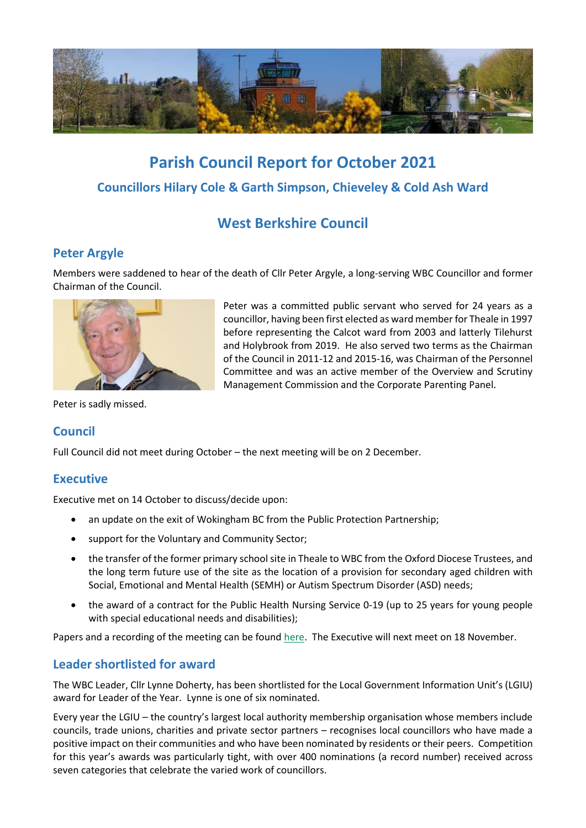

# **Parish Council Report for October 2021 Councillors Hilary Cole & Garth Simpson, Chieveley & Cold Ash Ward**

# **West Berkshire Council**

# **Peter Argyle**

Members were saddened to hear of the death of Cllr Peter Argyle, a long-serving WBC Councillor and former Chairman of the Council.



Peter was a committed public servant who served for 24 years as a councillor, having been first elected as ward member for Theale in 1997 before representing the Calcot ward from 2003 and latterly Tilehurst and Holybrook from 2019. He also served two terms as the Chairman of the Council in 2011-12 and 2015-16, was Chairman of the Personnel Committee and was an active member of the Overview and Scrutiny Management Commission and the Corporate Parenting Panel.

Peter is sadly missed.

# **Council**

Full Council did not meet during October – the next meeting will be on 2 December.

# **Executive**

Executive met on 14 October to discuss/decide upon:

- an update on the exit of Wokingham BC from the Public Protection Partnership;
- support for the Voluntary and Community Sector;
- the transfer of the former primary schoolsite in Theale to WBC from the Oxford Diocese Trustees, and the long term future use of the site as the location of a provision for secondary aged children with Social, Emotional and Mental Health (SEMH) or Autism Spectrum Disorder (ASD) needs;
- the award of a contract for the Public Health Nursing Service 0-19 (up to 25 years for young people with special educational needs and disabilities);

Papers and a recording of the meeting can be foun[d here.](http://decisionmaking.westberks.gov.uk/ieListDocuments.aspx?CId=117&MId=6287) The Executive will next meet on 18 November.

# **Leader shortlisted for award**

The WBC Leader, Cllr Lynne Doherty, has been shortlisted for the Local Government Information Unit's (LGIU) award for Leader of the Year. Lynne is one of six nominated.

Every year the LGIU – the country's largest local authority membership organisation whose members include councils, trade unions, charities and private sector partners – recognises local councillors who have made a positive impact on their communities and who have been nominated by residents or their peers. Competition for this year's awards was particularly tight, with over 400 nominations (a record number) received across seven categories that celebrate the varied work of councillors.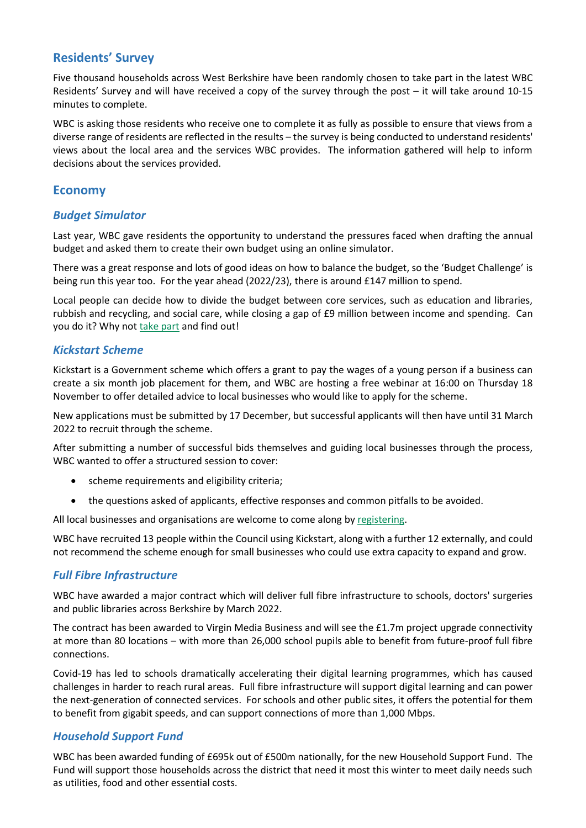### **Residents' Survey**

Five thousand households across West Berkshire have been randomly chosen to take part in the latest WBC Residents' Survey and will have received a copy of the survey through the post – it will take around 10-15 minutes to complete.

WBC is asking those residents who receive one to complete it as fully as possible to ensure that views from a diverse range of residents are reflected in the results – the survey is being conducted to understand residents' views about the local area and the services WBC provides. The information gathered will help to inform decisions about the services provided.

#### **Economy**

#### *Budget Simulator*

Last year, WBC gave residents the opportunity to understand the pressures faced when drafting the annual budget and asked them to create their own budget using an online simulator.

There was a great response and lots of good ideas on how to balance the budget, so the 'Budget Challenge' is being run this year too. For the year ahead (2022/23), there is around £147 million to spend.

Local people can decide how to divide the budget between core services, such as education and libraries, rubbish and recycling, and social care, while closing a gap of £9 million between income and spending. Can you do it? Why no[t take part](https://info.westberks.gov.uk/budgetchallenge) and find out!

#### *Kickstart Scheme*

Kickstart is a Government scheme which offers a grant to pay the wages of a young person if a business can create a six month job placement for them, and WBC are hosting a free webinar at 16:00 on Thursday 18 November to offer detailed advice to local businesses who would like to apply for the scheme.

New applications must be submitted by 17 December, but successful applicants will then have until 31 March 2022 to recruit through the scheme.

After submitting a number of successful bids themselves and guiding local businesses through the process, WBC wanted to offer a structured session to cover:

- scheme requirements and eligibility criteria;
- the questions asked of applicants, effective responses and common pitfalls to be avoided.

All local businesses and organisations are welcome to come along by [registering.](https://westberks-gov-uk.zoom.us/webinar/register/WN_ymnIcUl5S7a8IwsZagUK4w)

WBC have recruited 13 people within the Council using Kickstart, along with a further 12 externally, and could not recommend the scheme enough for small businesses who could use extra capacity to expand and grow.

#### *Full Fibre Infrastructure*

WBC have awarded a major contract which will deliver full fibre infrastructure to schools, doctors' surgeries and public libraries across Berkshire by March 2022.

The contract has been awarded to Virgin Media Business and will see the £1.7m project upgrade connectivity at more than 80 locations – with more than 26,000 school pupils able to benefit from future-proof full fibre connections.

Covid-19 has led to schools dramatically accelerating their digital learning programmes, which has caused challenges in harder to reach rural areas. Full fibre infrastructure will support digital learning and can power the next-generation of connected services. For schools and other public sites, it offers the potential for them to benefit from gigabit speeds, and can support connections of more than 1,000 Mbps.

#### *Household Support Fund*

WBC has been awarded funding of £695k out of £500m nationally, for the new Household Support Fund. The Fund will support those households across the district that need it most this winter to meet daily needs such as utilities, food and other essential costs.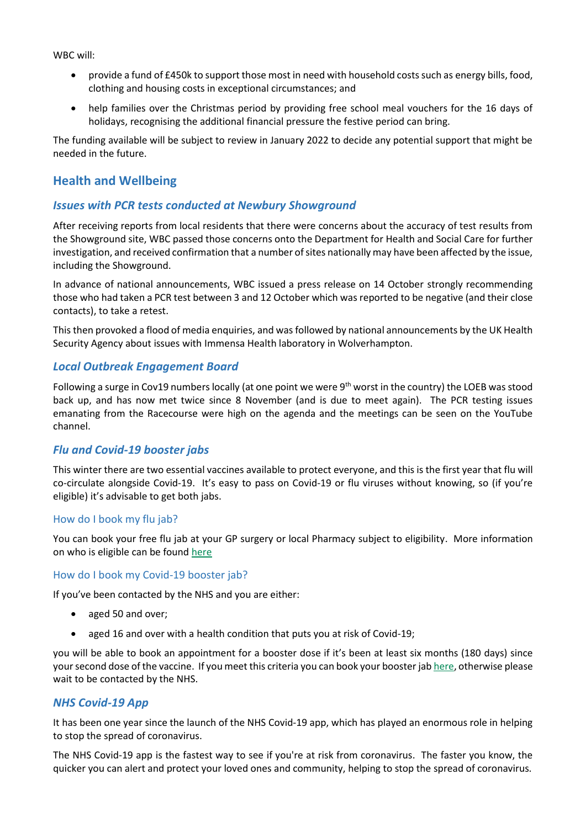WBC will:

- provide a fund of £450k to support those most in need with household costs such as energy bills, food, clothing and housing costs in exceptional circumstances; and
- help families over the Christmas period by providing free school meal vouchers for the 16 days of holidays, recognising the additional financial pressure the festive period can bring.

The funding available will be subject to review in January 2022 to decide any potential support that might be needed in the future.

# **Health and Wellbeing**

#### *Issues with PCR tests conducted at Newbury Showground*

After receiving reports from local residents that there were concerns about the accuracy of test results from the Showground site, WBC passed those concerns onto the Department for Health and Social Care for further investigation, and received confirmation that a number of sites nationally may have been affected by the issue, including the Showground.

In advance of national announcements, WBC issued a press release on 14 October strongly recommending those who had taken a PCR test between 3 and 12 October which was reported to be negative (and their close contacts), to take a retest.

This then provoked a flood of media enquiries, and was followed by national announcements by the UK Health Security Agency about issues with Immensa Health laboratory in Wolverhampton.

#### *Local Outbreak Engagement Board*

Following a surge in Cov19 numbers locally (at one point we were 9<sup>th</sup> worst in the country) the LOEB was stood back up, and has now met twice since 8 November (and is due to meet again). The PCR testing issues emanating from the Racecourse were high on the agenda and the meetings can be seen on the YouTube channel.

#### *Flu and Covid-19 booster jabs*

This winter there are two essential vaccines available to protect everyone, and this is the first year that flu will co-circulate alongside Covid-19. It's easy to pass on Covid-19 or flu viruses without knowing, so (if you're eligible) it's advisable to get both jabs.

#### How do I book my flu jab?

You can book your free flu jab at your GP surgery or local Pharmacy subject to eligibility. More information on who is eligible can be foun[d here](https://www.nhs.uk/conditions/vaccinations/flu-influenza-vaccine/)

#### How do I book my Covid-19 booster jab?

If you've been contacted by the NHS and you are either:

- aged 50 and over;
- aged 16 and over with a health condition that puts you at risk of Covid-19;

you will be able to book an appointment for a booster dose if it's been at least six months (180 days) since your second dose of the vaccine. If you meet this criteria you can book your booster ja[b here,](https://www.nhs.uk/book-a-coronavirus-vaccination/) otherwise please wait to be contacted by the NHS.

#### *NHS Covid-19 App*

It has been one year since the launch of the NHS Covid-19 app, which has played an enormous role in helping to stop the spread of coronavirus.

The NHS Covid-19 app is the fastest way to see if you're at risk from coronavirus. The faster you know, the quicker you can alert and protect your loved ones and community, helping to stop the spread of coronavirus.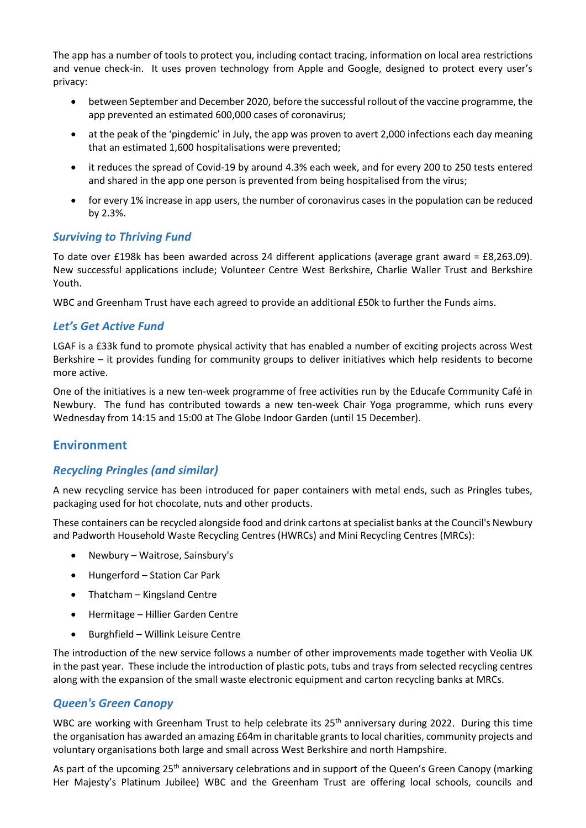The app has a number of tools to protect you, including contact tracing, information on local area restrictions and venue check-in. It uses proven technology from Apple and Google, designed to protect every user's privacy:

- between September and December 2020, before the successful rollout of the vaccine programme, the app prevented an estimated 600,000 cases of coronavirus;
- at the peak of the 'pingdemic' in July, the app was proven to avert 2,000 infections each day meaning that an estimated 1,600 hospitalisations were prevented;
- it reduces the spread of Covid-19 by around 4.3% each week, and for every 200 to 250 tests entered and shared in the app one person is prevented from being hospitalised from the virus;
- for every 1% increase in app users, the number of coronavirus cases in the population can be reduced by 2.3%.

#### *Surviving to Thriving Fund*

To date over £198k has been awarded across 24 different applications (average grant award = £8,263.09). New successful applications include; Volunteer Centre West Berkshire, Charlie Waller Trust and Berkshire Youth.

WBC and Greenham Trust have each agreed to provide an additional £50k to further the Funds aims.

#### *Let's Get Active Fund*

LGAF is a £33k fund to promote physical activity that has enabled a number of exciting projects across West Berkshire – it provides funding for community groups to deliver initiatives which help residents to become more active.

One of the initiatives is a new ten-week programme of free activities run by the Educafe Community Café in Newbury. The fund has contributed towards a new ten-week Chair Yoga programme, which runs every Wednesday from 14:15 and 15:00 at The Globe Indoor Garden (until 15 December).

#### **Environment**

# *Recycling Pringles (and similar)*

A new recycling service has been introduced for paper containers with metal ends, such as Pringles tubes, packaging used for hot chocolate, nuts and other products.

These containers can be recycled alongside food and drink cartons at specialist banks at the Council's Newbury and Padworth Household Waste Recycling Centres (HWRCs) and Mini Recycling Centres (MRCs):

- Newbury Waitrose, Sainsbury's
- Hungerford Station Car Park
- Thatcham Kingsland Centre
- Hermitage Hillier Garden Centre
- Burghfield Willink Leisure Centre

The introduction of the new service follows a number of other improvements made together with Veolia UK in the past year. These include the introduction of plastic pots, tubs and trays from selected recycling centres along with the expansion of the small waste electronic equipment and carton recycling banks at MRCs.

#### *Queen's Green Canopy*

WBC are working with Greenham Trust to help celebrate its 25<sup>th</sup> anniversary during 2022. During this time the organisation has awarded an amazing £64m in charitable grants to local charities, community projects and voluntary organisations both large and small across West Berkshire and north Hampshire.

As part of the upcoming 25<sup>th</sup> anniversary celebrations and in support of the Queen's Green Canopy (marking Her Majesty's Platinum Jubilee) WBC and the Greenham Trust are offering local schools, councils and